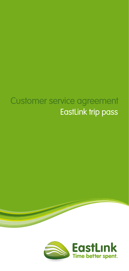# Customer service agreement EastLink trip pass

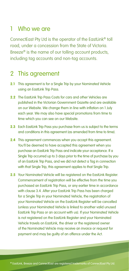#### 1 Who we are

ConnectEast Pty Ltd is the operator of the EastLink® toll road, under a concession from the State of Victoria. Breeze<sup>®</sup> is the name of our tolling account products, including tag accounts and non-tag accounts.

#### 2 This agreement

- **2.1** This agreement is for a Single Trip by your Nominated Vehicle using an EastLink Trip Pass.
- **2.2** The EastLink Trip Pass Costs for cars and other Vehicles are published in the Victorian Government Gazette and are available on our Website. We change them in line with inflation on 1 July each year. We may also have special promotions from time to time which you can see on our Website.
- **2.3** Each EastLink Trip Pass you purchase from us is subject to the terms and conditions in this agreement (as amended from time to time).
- **2.4** This agreement commences when you accept this agreement. You'll be deemed to have accepted this agreement when you purchase an EastLink Trip Pass and indicate your acceptance. If a Single Trip occurred up to 3 days prior to the time of purchase by you of an EastLink Trip Pass, and we did not detect a Tag in connection with that Single Trip, this agreement applies to that Single Trip.
- 2.5 Your Nominated Vehicle will be registered on the EastLink Register. Commencement of registration will be effective from the time you purchased an EastLink Trip Pass, or any earlier time in accordance with clause 3.4. After your EastLink Trip Pass has been charged for a Single Trip in your Nominated Vehicle, the registration of your Nominated Vehicle on the EastLink Register will be cancelled (unless your Nominated Vehicle is linked to another valid unused EastLink Trip Pass or an account with us). If your Nominated Vehicle is not registered on the EastLink Register and your Nominated Vehicle travels on EastLink, the driver or the registered owner of the Nominated Vehicle may receive an invoice or request for payment and may be guilty of an offence under the Act.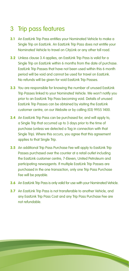## 3 Trip pass features

- **3.1** An EastLink Trip Pass entitles your Nominated Vehicle to make a Single Trip on EastLink. An EastLink Trip Pass does not entitle your Nominated Vehicle to travel on CityLink or any other toll road.
- **3.2** Unless clause 3.4 applies, an EastLink Trip Pass is valid for a Single Trip on EastLink within 6 months from the date of purchase. EastLink Trip Passes that have not been used within this 6 month period will be void and cannot be used for travel on EastLink. No refunds will be given for void EastLink Trip Passes.
- **3.3** You are responsible for knowing the number of unused EastLink Trip Passes linked to your Nominated Vehicle. We won't notify you prior to an EastLink Trip Pass becoming void. Details of unused EastLink Trip Passes can be obtained by visiting the EastLink customer centre, on our Website or by calling (03) 9955 1400.
- **3.4** An EastLink Trip Pass can be purchased for, and will apply to, a Single Trip that occurred up to 3 days prior to the time of purchase (unless we detected a Tag in connection with that Single Trip). Where this occurs, you agree that this agreement applies to that Single Trip.
- **3.5** An additional Trip Pass Purchase Fee will apply to EastLink Trip Passes purchased over the counter at a retail outlet including the EastLink customer centre, 7-Eleven, United Petroleum and participating newsagents. If multiple EastLink Trip Passes are purchased in the one transaction, only one Trip Pass Purchase Fee will be payable.
- **3.6** An EastLink Trip Pass is only valid for use with your Nominated Vehicle.
- **3.7** An EastLink Trip Pass is not transferable to another Vehicle, and any EastLink Trip Pass Cost and any Trip Pass Purchase Fee are not refundable.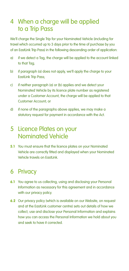#### 4 When a charge will be applied to a Trip Pass

We'll charge the Single Trip for your Nominated Vehicle (including for travel which occurred up to 3 days prior to the time of purchase by you of an EastLink Trip Pass) in the following descending order of application:

- a) if we detect a Tag, the charge will be applied to the account linked to that Tag;
- b) if paragraph (a) does not apply, we'll apply the charge to your EastLink Trip Pass;
- c) if neither paragraph (a) or (b) applies and we detect your Nominated Vehicle by its licence plate number as registered under a Customer Account, the charge will be applied to that Customer Account; or
- d) if none of the paragraphs above applies, we may make a statutory request for payment in accordance with the Act.

#### 5 Licence Plates on your Nominated Vehicle

**5.1** You must ensure that the licence plates on your Nominated Vehicle are correctly fitted and displayed when your Nominated Vehicle travels on EastLink.

#### 6 Privacy

- **6.1** You agree to us collecting, using and disclosing your Personal Information as necessary for this agreement and in accordance with our privacy policy.
- **6.2** Our privacy policy (which is available on our Website, on request and at the EastLink customer centre) sets out details of how we collect, use and disclose your Personal Information and explains how you can access the Personal Information we hold about you and seek to have it corrected.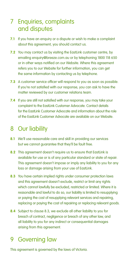#### 7 Enquiries, complaints and disputes

- **7.1** If you have an enquiry or a dispute or wish to make a complaint about this agreement, you should contact us.
- **7.2** You may contact us by visiting the EastLink customer centre, by emailing enquiry@breeze.com.au or by telephoning 1800 118 650 or in other ways notified on our Website. Where this agreement refers you to our Website for further information, you can get the same information by contacting us by telephone.
- **7.3** A customer service officer will respond to you as soon as possible. If you're not satisfied with our response, you can ask to have the matter reviewed by our customer relations team.
- **7.4** If you are still not satisfied with our response, you may take your complaint to the EastLink Customer Advocate. Contact details for the EastLink Customer Advocate and information about the role of the EastLink Customer Advocate are available on our Website.

#### 8 Our liability

- **8.1** We'll use reasonable care and skill in providing our services but we cannot guarantee that they'll be fault free.
- **8.2** This agreement doesn't require us to ensure that EastLink is available for use or is of any particular standard or state of repair. This agreement doesn't impose or imply any liability to you for any loss or damage arising from your use of EastLink.
- **8.3** You have certain implied rights under consumer protection laws and this agreement doesn't exclude, restrict or limit any rights which cannot lawfully be excluded, restricted or limited. Where it is reasonable and lawful to do so, our liability is limited to resupplying or paying the cost of resupplying relevant services and repairing, replacing or paying the cost of repairing or replacing relevant goods.
- **8.4** Subject to clause 8.3, we exclude all other liability to you for breach of contract, negligence or breach of any other law, and all liability to you for any indirect or consequential damages arising from this agreement.

### 9 Governing law

This agreement is governed by the laws of Victoria.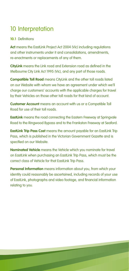# 10 Interpretation

#### **10.1** Definitions

**Act** means the EastLink Project Act 2004 (Vic) including regulations and other instruments under it and consolidations, amendments re-enactments or replacements of any of them.

**CityLink** means the Link road and Extension road as defined in the Melbourne City Link Act 1995 (Vic), and any part of those roads.

**Compatible Toll Road** means CityLink and the other toll roads listed on our Website with whom we have an agreement under which we'll charge our customers' accounts with the applicable charges for travel by their Vehicles on those other toll roads for that kind of account.

**Customer Account** means an account with us or a Compatible Toll Road for use of their toll roads.

**EastLink** means the road connecting the Eastern Freeway at Springvale Road to the Ringwood Bypass and to the Frankston Freeway at Seaford.

**EastLink Trip Pass Cost** means the amount payable for an EastLink Trip Pass, which is published in the Victorian Government Gazette and is specified on our Website.

**Nominated Vehicle** means the Vehicle which you nominate for travel on EastLink when purchasing an EastLink Trip Pass, which must be the correct class of Vehicle for that EastLink Trip Pass.

**Personal Information** means information about you, from which your identity could reasonably be ascertained, including records of your use of EastLink, photographs and video footage, and financial information relating to you.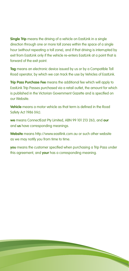**Single Trip** means the driving of a vehicle on EastLink in a single direction through one or more toll zones within the space of a single hour (without repeating a toll zone), and if that driving is interrupted by exit from EastLink only if the vehicle re-enters EastLink at a point that is forward of the exit point.

**Tag** means an electronic device issued by us or by a Compatible Toll Road operator, by which we can track the use by Vehicles of EastLink.

**Trip Pass Purchase Fee** means the additional fee which will apply to EastLink Trip Passes purchased via a retail outlet, the amount for which is published in the Victorian Government Gazette and is specified on our Website.

**Vehicle** means a motor vehicle as that term is defined in the Road Safety Act 1986 (Vic).

**we** means ConnectEast Pty Limited, ABN 99 101 213 263, and **our** and **us** have corresponding meanings.

**Website** means http://www.eastlink.com.au or such other website as we may notify you from time to time.

**you** means the customer specified when purchasing a Trip Pass under this agreement, and **your** has a corresponding meaning.